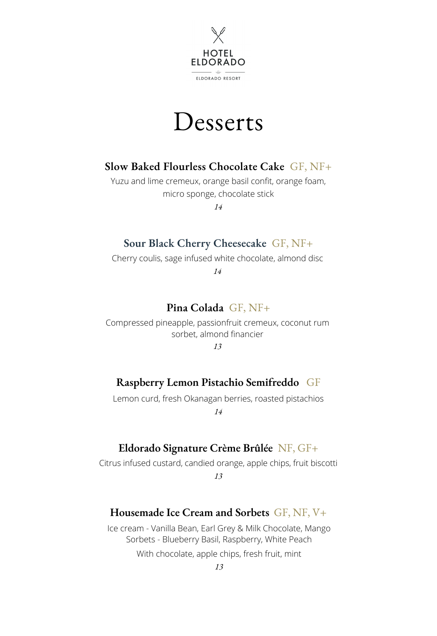



## **Slow Baked Flourless Chocolate Cake** GF, NF+

Yuzu and lime cremeux, orange basil confit, orange foam, micro sponge, chocolate stick

*14*

### **Sour Black Cherry Cheesecake** GF, NF+

Cherry coulis, sage infused white chocolate, almond disc

*14*

### **Pina Colada** GF, NF+

Compressed pineapple, passionfruit cremeux, coconut rum sorbet, almond financier

*13*

## **Raspberry Lemon Pistachio Semifreddo** GF

Lemon curd, fresh Okanagan berries, roasted pistachios

*14*

## **Eldorado Signature Crème Brûlée** NF, GF+

Citrus infused custard, candied orange, apple chips, fruit biscotti *13*

#### **Housemade Ice Cream and Sorbets** GF, NF, V+

With chocolate, apple chips, fresh fruit, mint Ice cream - Vanilla Bean, Earl Grey & Milk Chocolate, Mango Sorbets - Blueberry Basil, Raspberry, White Peach